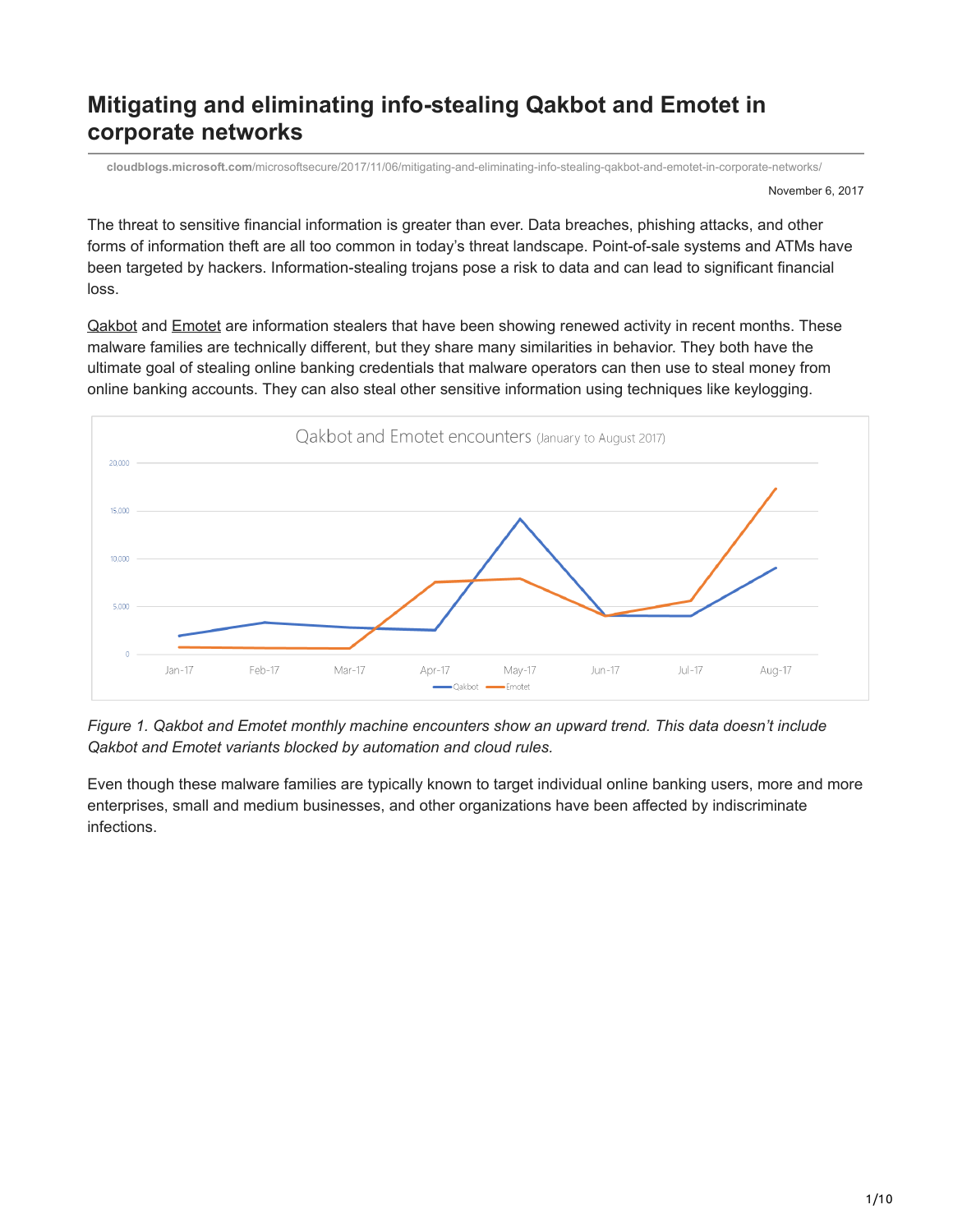# **Mitigating and eliminating info-stealing Qakbot and Emotet in corporate networks**

**cloudblogs.microsoft.com**[/microsoftsecure/2017/11/06/mitigating-and-eliminating-info-stealing-qakbot-and-emotet-in-corporate-networks/](https://cloudblogs.microsoft.com/microsoftsecure/2017/11/06/mitigating-and-eliminating-info-stealing-qakbot-and-emotet-in-corporate-networks/?source=mmpc)

November 6, 2017

The threat to sensitive financial information is greater than ever. Data breaches, phishing attacks, and other forms of information theft are all too common in today's threat landscape. Point-of-sale systems and ATMs have been targeted by hackers. Information-stealing trojans pose a risk to data and can lead to significant financial loss.

[Qakbot](https://www.microsoft.com/en-us/wdsi/threats/malware-encyclopedia-description?Name=Backdoor:Win32/Qakbot.T) and **[Emotet](https://www.microsoft.com/en-us/wdsi/threats/malware-encyclopedia-description?name=Win32/Emotet)** are information stealers that have been showing renewed activity in recent months. These malware families are technically different, but they share many similarities in behavior. They both have the ultimate goal of stealing online banking credentials that malware operators can then use to steal money from online banking accounts. They can also steal other sensitive information using techniques like keylogging.



*Figure 1. Qakbot and Emotet monthly machine encounters show an upward trend. This data doesn't include Qakbot and Emotet variants blocked by automation and cloud rules.*

Even though these malware families are typically known to target individual online banking users, more and more enterprises, small and medium businesses, and other organizations have been affected by indiscriminate infections.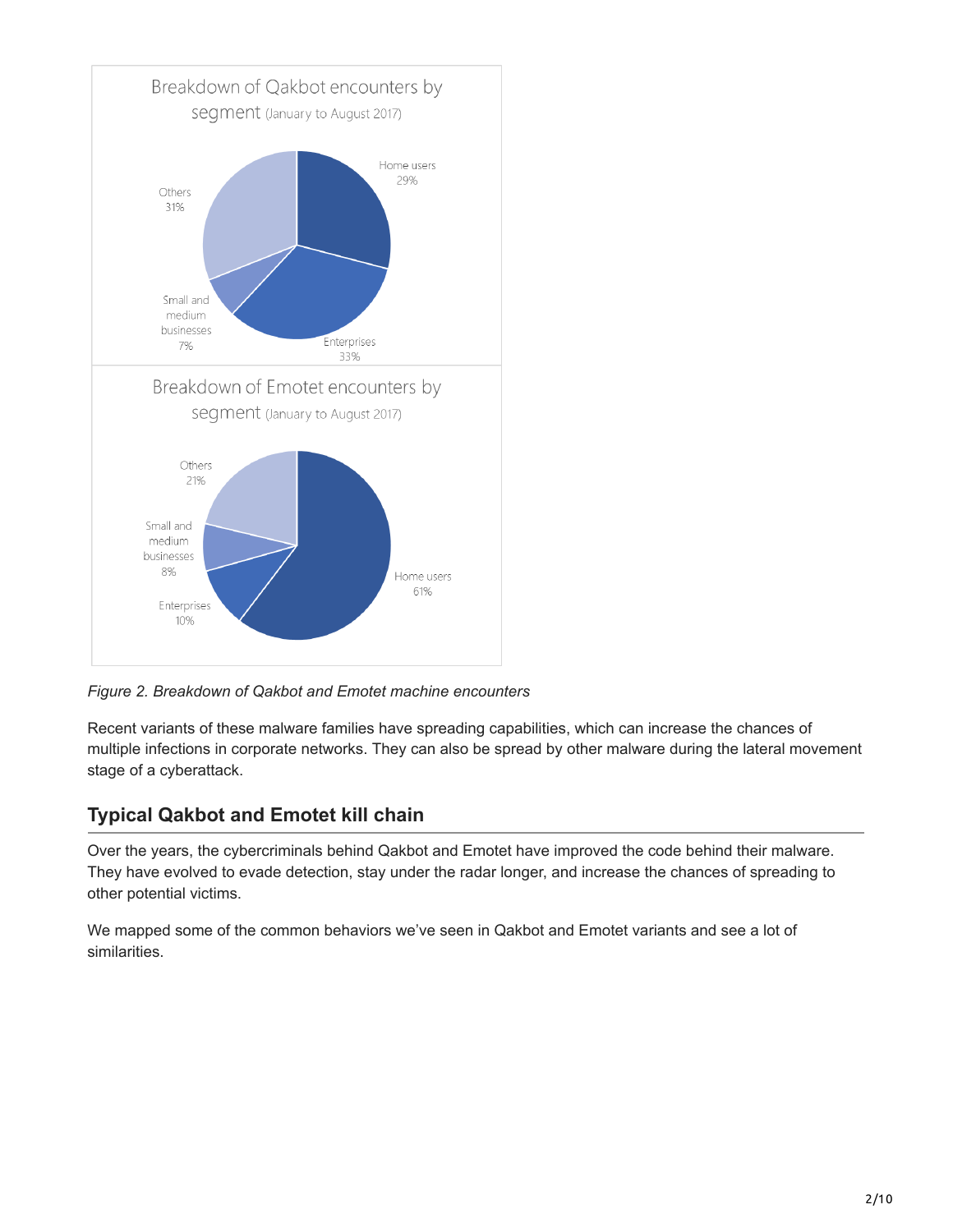

*Figure 2. Breakdown of Qakbot and Emotet machine encounters*

Recent variants of these malware families have spreading capabilities, which can increase the chances of multiple infections in corporate networks. They can also be spread by other malware during the lateral movement stage of a cyberattack.

## **Typical Qakbot and Emotet kill chain**

Over the years, the cybercriminals behind Qakbot and Emotet have improved the code behind their malware. They have evolved to evade detection, stay under the radar longer, and increase the chances of spreading to other potential victims.

We mapped some of the common behaviors we've seen in Qakbot and Emotet variants and see a lot of similarities.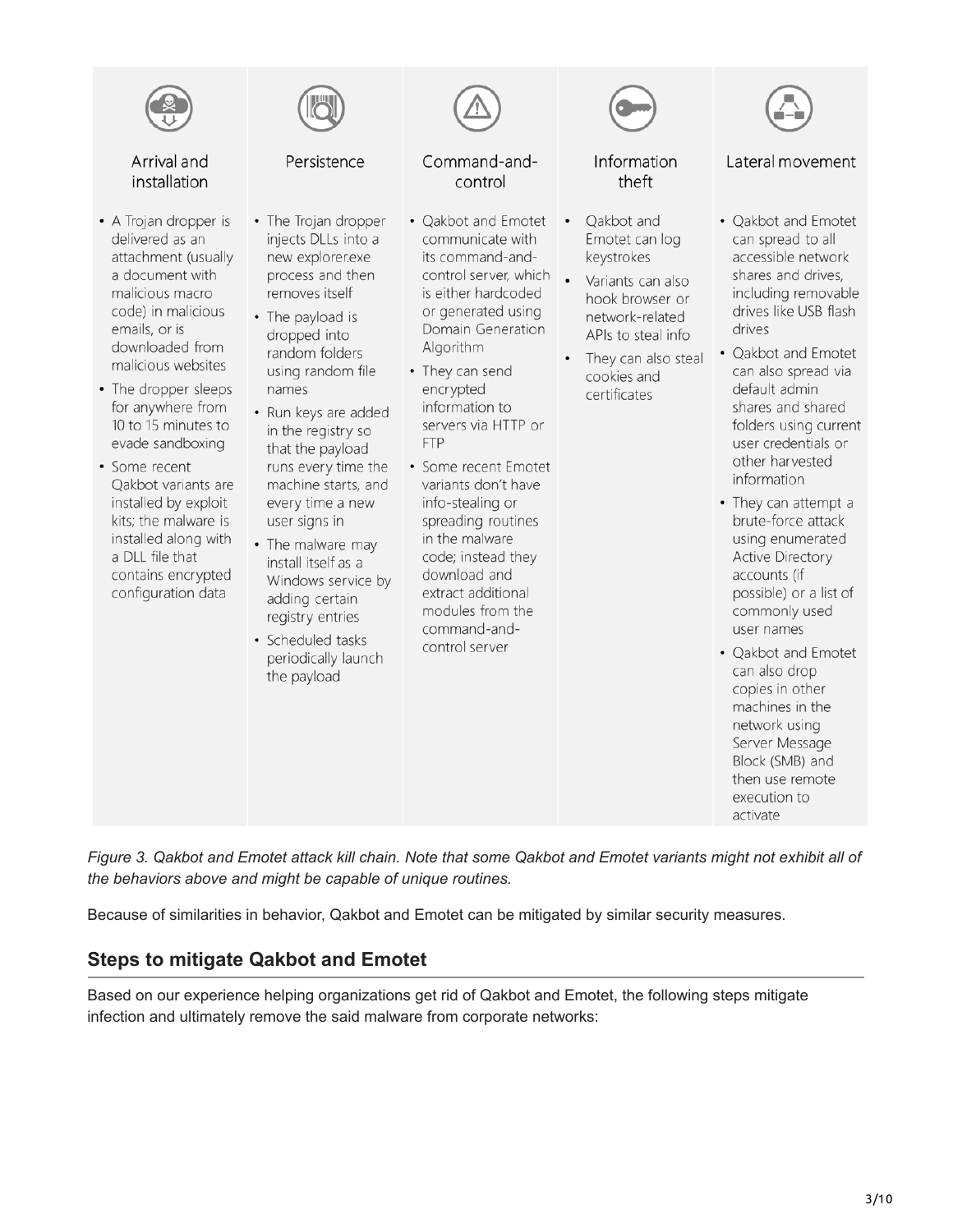

*Figure 3. Qakbot and Emotet attack kill chain. Note that some Qakbot and Emotet variants might not exhibit all of the behaviors above and might be capable of unique routines.*

Because of similarities in behavior, Qakbot and Emotet can be mitigated by similar security measures.

### **Steps to mitigate Qakbot and Emotet**

Based on our experience helping organizations get rid of Qakbot and Emotet, the following steps mitigate infection and ultimately remove the said malware from corporate networks: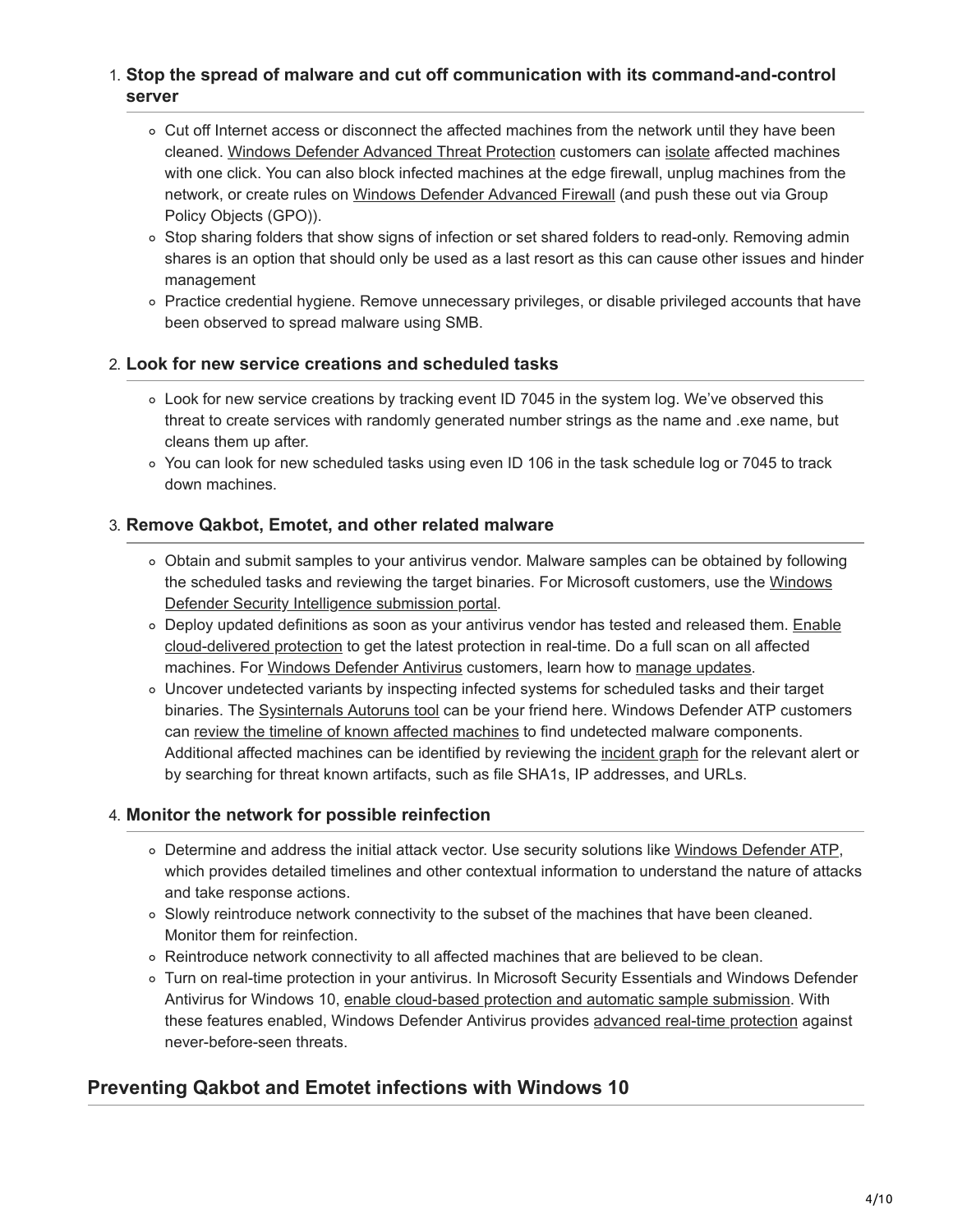### 1. **Stop the spread of malware and cut off communication with its command-and-control server**

- Cut off Internet access or disconnect the affected machines from the network until they have been cleaned. [Windows Defender Advanced Threat Protection](https://www.microsoft.com/en-us/windowsforbusiness/windows-atp?ocid=cx-blog-mmpc) customers can [isolate](https://docs.microsoft.com/en-us/windows/threat-protection/windows-defender-atp/respond-machine-alerts-windows-defender-advanced-threat-protection) affected machines with one click. You can also block infected machines at the edge firewall, unplug machines from the network, or create rules on [Windows Defender Advanced Firewall](https://docs.microsoft.com/en-us/windows/access-protection/windows-firewall/windows-firewall-with-advanced-security-deployment-guide) (and push these out via Group Policy Objects (GPO)).
- o Stop sharing folders that show signs of infection or set shared folders to read-only. Removing admin shares is an option that should only be used as a last resort as this can cause other issues and hinder management
- Practice credential hygiene. Remove unnecessary privileges, or disable privileged accounts that have been observed to spread malware using SMB.

### 2. **Look for new service creations and scheduled tasks**

- Look for new service creations by tracking event ID 7045 in the system log. We've observed this threat to create services with randomly generated number strings as the name and .exe name, but cleans them up after.
- You can look for new scheduled tasks using even ID 106 in the task schedule log or 7045 to track down machines.

### 3. **Remove Qakbot, Emotet, and other related malware**

- Obtain and submit samples to your antivirus vendor. Malware samples can be obtained by following [the scheduled tasks and reviewing the target binaries. For Microsoft customers, use the Windows](https://www.microsoft.com/en-us/wdsi/filesubmission) Defender Security Intelligence submission portal.
- o [Deploy updated definitions as soon as your antivirus vendor has tested and released them. Enable](https://docs.microsoft.com/en-us/windows/threat-protection/windows-defender-antivirus/enable-cloud-protection-windows-defender-antivirus) cloud-delivered protection to get the latest protection in real-time. Do a full scan on all affected machines. For [Windows Defender Antivirus](https://www.microsoft.com/en-us/windows/windows-defender) customers, learn how to [manage updates.](https://docs.microsoft.com/en-us/windows/threat-protection/windows-defender-antivirus/manage-updates-baselines-windows-defender-antivirus)
- Uncover undetected variants by inspecting infected systems for scheduled tasks and their target binaries. The [Sysinternals Autoruns tool](https://docs.microsoft.com/en-us/sysinternals/downloads/autoruns) can be your friend here. Windows Defender ATP customers can [review the timeline of known affected machines](https://docs.microsoft.com/en-us/windows/threat-protection/windows-defender-atp/investigate-machines-windows-defender-advanced-threat-protection) to find undetected malware components. Additional affected machines can be identified by reviewing the [incident graph](https://docs.microsoft.com/en-us/windows/threat-protection/windows-defender-atp/investigate-alerts-windows-defender-advanced-threat-protection#incident-graph) for the relevant alert or by searching for threat known artifacts, such as file SHA1s, IP addresses, and URLs.

### 4. **Monitor the network for possible reinfection**

- Determine and address the initial attack vector. Use security solutions like [Windows Defender ATP](https://www.microsoft.com/en-us/windowsforbusiness/windows-atp?ocid=cx-blog-mmpc), which provides detailed timelines and other contextual information to understand the nature of attacks and take response actions.
- Slowly reintroduce network connectivity to the subset of the machines that have been cleaned. Monitor them for reinfection.
- Reintroduce network connectivity to all affected machines that are believed to be clean.
- Turn on real-time protection in your antivirus. In Microsoft Security Essentials and Windows Defender Antivirus for Windows 10, [enable cloud-based protection and automatic sample submission.](https://docs.microsoft.com/en-us/windows/threat-protection/windows-defender-antivirus/enable-cloud-protection-windows-defender-antivirus) With these features enabled, Windows Defender Antivirus provides [advanced real-time protection](https://blogs.technet.microsoft.com/mmpc/2017/07/18/windows-defender-antivirus-cloud-protection-service-advanced-real-time-defense-against-never-before-seen-malware/) against never-before-seen threats.

### **Preventing Qakbot and Emotet infections with Windows 10**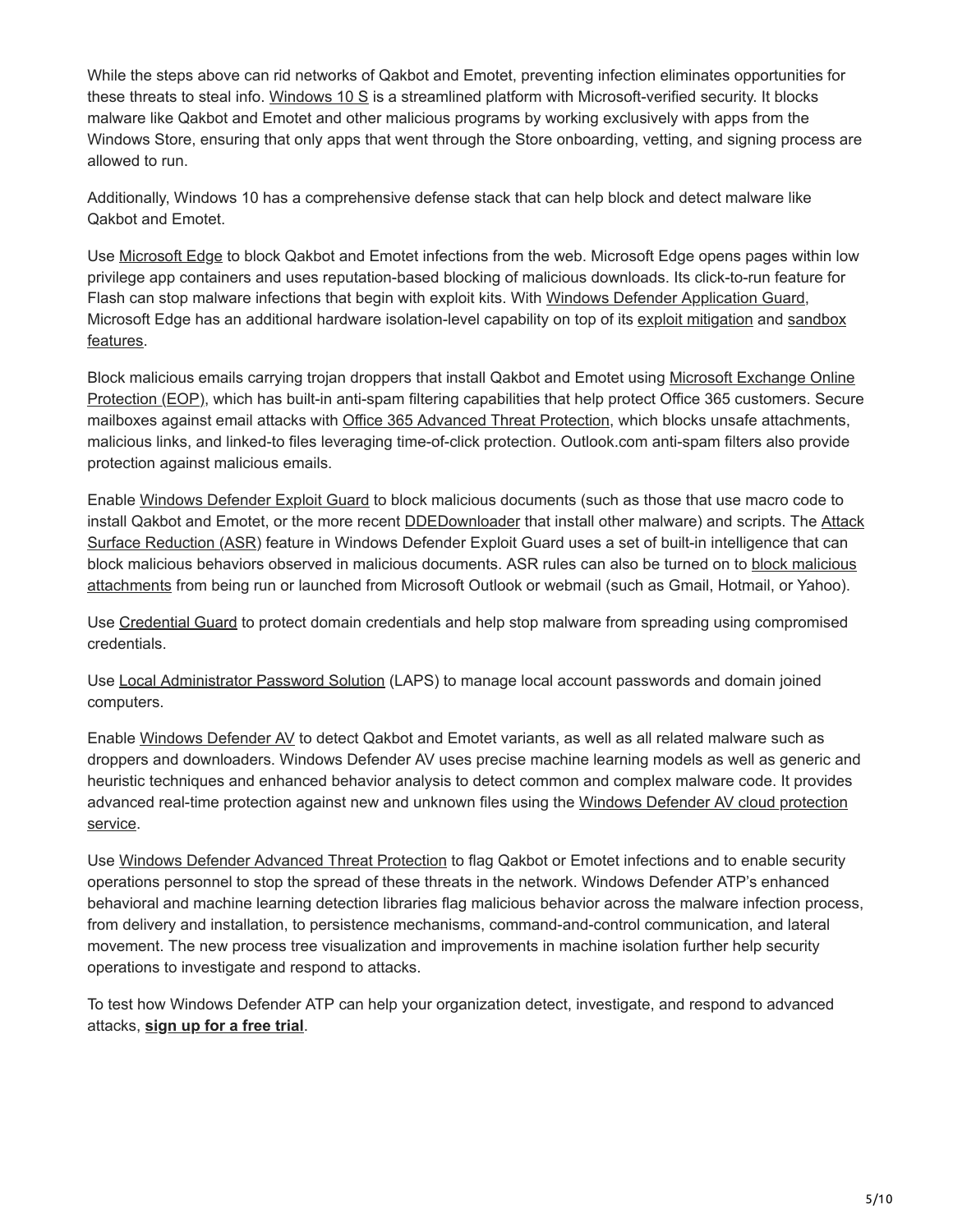While the steps above can rid networks of Qakbot and Emotet, preventing infection eliminates opportunities for these threats to steal info. [Windows 10 S](https://www.microsoft.com/en-us/windows/windows-10-s) is a streamlined platform with Microsoft-verified security. It blocks malware like Qakbot and Emotet and other malicious programs by working exclusively with apps from the Windows Store, ensuring that only apps that went through the Store onboarding, vetting, and signing process are allowed to run.

Additionally, Windows 10 has a comprehensive defense stack that can help block and detect malware like Qakbot and Emotet.

Use [Microsoft Edge](https://docs.microsoft.com/en-us/microsoft-edge/deploy/index) to block Qakbot and Emotet infections from the web. Microsoft Edge opens pages within low privilege app containers and uses reputation-based blocking of malicious downloads. Its click-to-run feature for Flash can stop malware infections that begin with exploit kits. With [Windows Defender Application Guard,](https://blogs.technet.microsoft.com/mmpc/2017/10/23/making-microsoft-edge-the-most-secure-browser-with-windows-defender-application-guard/) [Microsoft Edge has an additional hardware isolation-level capability on top of its e](https://blogs.windows.com/msedgedev/2017/03/23/strengthening-microsoft-edge-sandbox?ocid=cx-blog-mmpc)[xploit mitigatio](https://blogs.windows.com/msedgedev/2017/02/23/mitigating-arbitrary-native-code-execution?ocid=cx-blog-mmpc)[n and sandbox](https://blogs.windows.com/msedgedev/2017/03/23/strengthening-microsoft-edge-sandbox?ocid=cx-blog-mmpc) features.

[Block malicious emails carrying trojan droppers that install Qakbot and Emotet using Microsoft Exchange Online](https://products.office.com/en-us/exchange/exchange-email-security-spam-protection) Protection (EOP), which has built-in anti-spam filtering capabilities that help protect Office 365 customers. Secure mailboxes against email attacks with [Office 365 Advanced Threat Protection,](https://products.office.com/en-us/exchange/online-email-threat-protection) which blocks unsafe attachments, malicious links, and linked-to files leveraging time-of-click protection. Outlook.com anti-spam filters also provide protection against malicious emails.

Enable [Windows Defender Exploit Guard](https://blogs.technet.microsoft.com/mmpc/2017/10/23/windows-defender-exploit-guard-reduce-the-attack-surface-against-next-generation-malware/) to block malicious documents (such as those that use macro code to [install Qakbot and Emotet, or the more recent](https://docs.microsoft.com/en-us/windows/threat-protection/windows-defender-exploit-guard/attack-surface-reduction-exploit-guard?ocid=cx-blog-mmpc) **[DDEDownloade](https://www.microsoft.com/en-us/wdsi/threats/malware-encyclopedia-description?Name=Exploit:O97M/DDEDownloader.A&ocid=cx-blog-mmpc)r** that install other malware) and scripts. The Attack Surface Reduction (ASR) feature in Windows Defender Exploit Guard uses a set of built-in intelligence that can [block malicious behaviors observed in malicious documents. ASR rules can also be turned on to block malicious](https://docs.microsoft.com/en-us/windows/threat-protection/windows-defender-exploit-guard/attack-surface-reduction-exploit-guard?ocid=cx-blog-mmpc) attachments from being run or launched from Microsoft Outlook or webmail (such as Gmail, Hotmail, or Yahoo).

Use [Credential Guard](https://docs.microsoft.com/en-us/windows/device-security/device-guard/introduction-to-device-guard-virtualization-based-security-and-code-integrity-policies) to protect domain credentials and help stop malware from spreading using compromised credentials.

Use [Local Administrator Password Solution](https://www.microsoft.com/en-us/download/details.aspx?id=46899) (LAPS) to manage local account passwords and domain joined computers.

Enable [Windows Defender AV](https://www.microsoft.com/en-us/windows/windows-defender) to detect Qakbot and Emotet variants, as well as all related malware such as droppers and downloaders. Windows Defender AV uses precise machine learning models as well as generic and heuristic techniques and enhanced behavior analysis to detect common and complex malware code. It provides [advanced real-time protection against new and unknown files using the Windows Defender AV cloud protection](https://blogs.technet.microsoft.com/mmpc/2017/07/18/windows-defender-antivirus-cloud-protection-service-advanced-real-time-defense-against-never-before-seen-malware/) service.

Use [Windows Defender Advanced Threat Protection](https://www.microsoft.com/en-us/windowsforbusiness/windows-atp?ocid=cx-blog-mmpc) to flag Qakbot or Emotet infections and to enable security operations personnel to stop the spread of these threats in the network. Windows Defender ATP's enhanced behavioral and machine learning detection libraries flag malicious behavior across the malware infection process, from delivery and installation, to persistence mechanisms, command-and-control communication, and lateral movement. The new process tree visualization and improvements in machine isolation further help security operations to investigate and respond to attacks.

To test how Windows Defender ATP can help your organization detect, investigate, and respond to advanced attacks, **[sign up for a free trial](https://www.microsoft.com/en-us/windowsforbusiness/windows-atp?ocid=cx-blog-mmpc)**.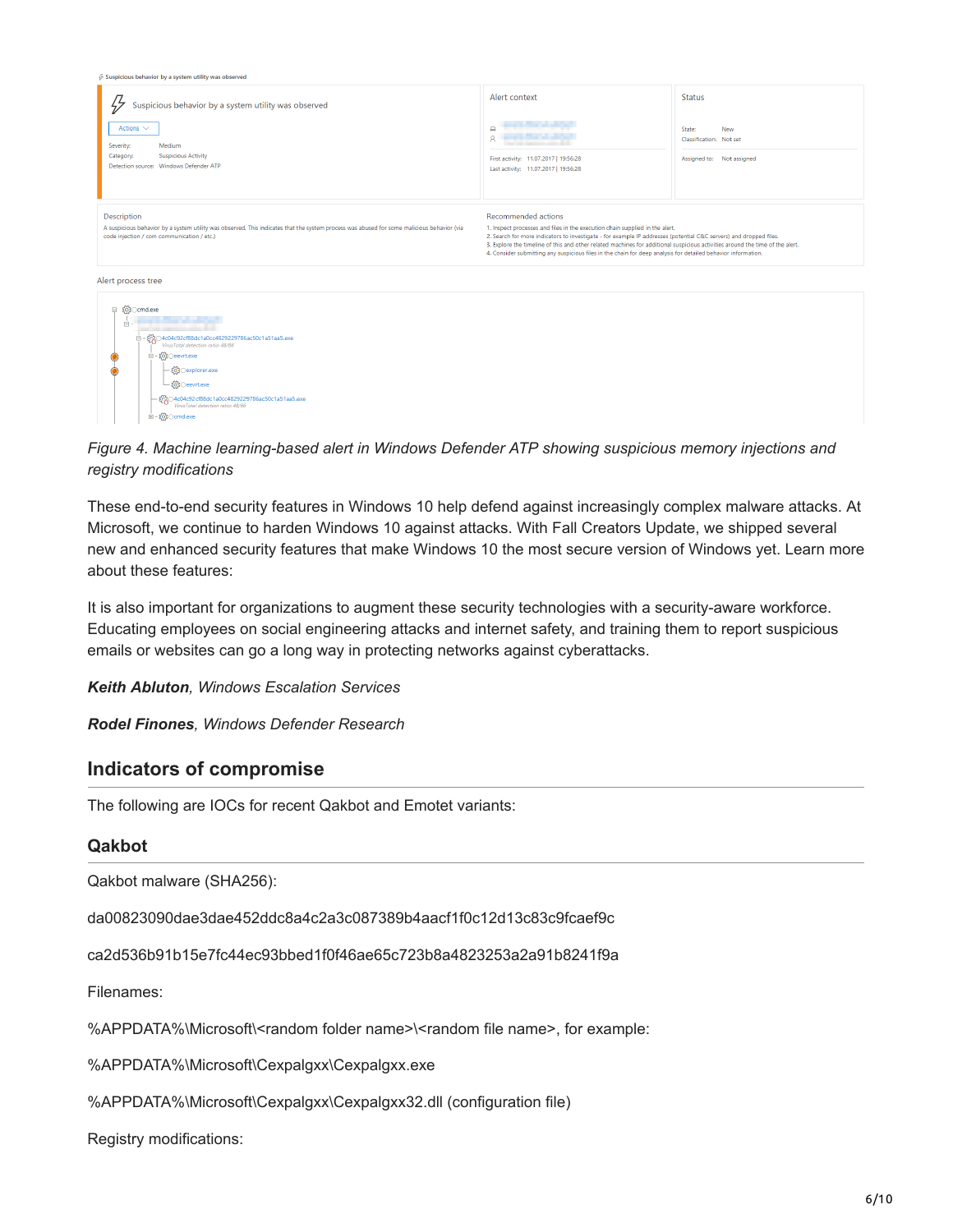| $\mathcal G$ Suspicious behavior by a system utility was observed                                                                                                                                                                                                                                                           |                                                                                                                                                                                                                                                                                                                                                                                                                                                                             |                                                                                               |
|-----------------------------------------------------------------------------------------------------------------------------------------------------------------------------------------------------------------------------------------------------------------------------------------------------------------------------|-----------------------------------------------------------------------------------------------------------------------------------------------------------------------------------------------------------------------------------------------------------------------------------------------------------------------------------------------------------------------------------------------------------------------------------------------------------------------------|-----------------------------------------------------------------------------------------------|
| Suspicious behavior by a system utility was observed<br>$\frac{1}{2}$<br>Actions $\smile$<br>Severity:<br>Medium<br>Category:<br><b>Suspicious Activity</b><br>Detection source: Windows Defender ATP                                                                                                                       | Alert context<br>$\Box$<br>Ŕ<br>First activity: 11.07.2017   19:56:28<br>Last activity: 11.07.2017   19:56:28                                                                                                                                                                                                                                                                                                                                                               | <b>Status</b><br>State:<br><b>New</b><br>Classification: Not set<br>Assigned to: Not assigned |
| Description<br>A suspicious behavior by a system utility was observed. This indicates that the system process was abused for some malicious behavior (via<br>code injection / com communication / etc.)                                                                                                                     | Recommended actions<br>1. Inspect processes and files in the execution chain supplied in the alert.<br>2. Search for more indicators to investigate - for example IP addresses (potential C&C servers) and dropped files.<br>3. Explore the timeline of this and other related machines for additional suspicious activities around the time of the alert.<br>4. Consider submitting any suspicious files in the chain for deep analysis for detailed behavior information. |                                                                                               |
| Alert process tree<br><b>□</b> { <b>Q}</b> Ocmd.exe<br>Ė.<br>白- 6204c04c92cf88dc1a0cc4829229786ac50c1a51aa5.exe<br>VirusTotal detection ratio: 48/66<br>⊟ - {O} ⊙eevrt.exe<br>ξο}⊙explorer.exe<br>ξό}⊙eevrt.exe<br>袋204c04c92cf88dc1a0cc4829229786ac50c1a51aa5.exe<br>VirusTotal detection ratio: 48/66<br>由 - 2030 cmd.exe |                                                                                                                                                                                                                                                                                                                                                                                                                                                                             |                                                                                               |

### *Figure 4. Machine learning-based alert in Windows Defender ATP showing suspicious memory injections and registry modifications*

These end-to-end security features in Windows 10 help defend against increasingly complex malware attacks. At Microsoft, we continue to harden Windows 10 against attacks. With Fall Creators Update, we shipped several new and enhanced security features that make Windows 10 the most secure version of Windows yet. Learn more about these features:

It is also important for organizations to augment these security technologies with a security-aware workforce. Educating employees on social engineering attacks and internet safety, and training them to report suspicious emails or websites can go a long way in protecting networks against cyberattacks.

*Keith Abluton, Windows Escalation Services*

*Rodel Finones, Windows Defender Research*

### **Indicators of compromise**

The following are IOCs for recent Qakbot and Emotet variants:

### **Qakbot**

Qakbot malware (SHA256):

da00823090dae3dae452ddc8a4c2a3c087389b4aacf1f0c12d13c83c9fcaef9c

ca2d536b91b15e7fc44ec93bbed1f0f46ae65c723b8a4823253a2a91b8241f9a

Filenames:

%APPDATA%\Microsoft\<random folder name>\<random file name>, for example:

%APPDATA%\Microsoft\Cexpalgxx\Cexpalgxx.exe

%APPDATA%\Microsoft\Cexpalgxx\Cexpalgxx32.dll (configuration file)

Registry modifications: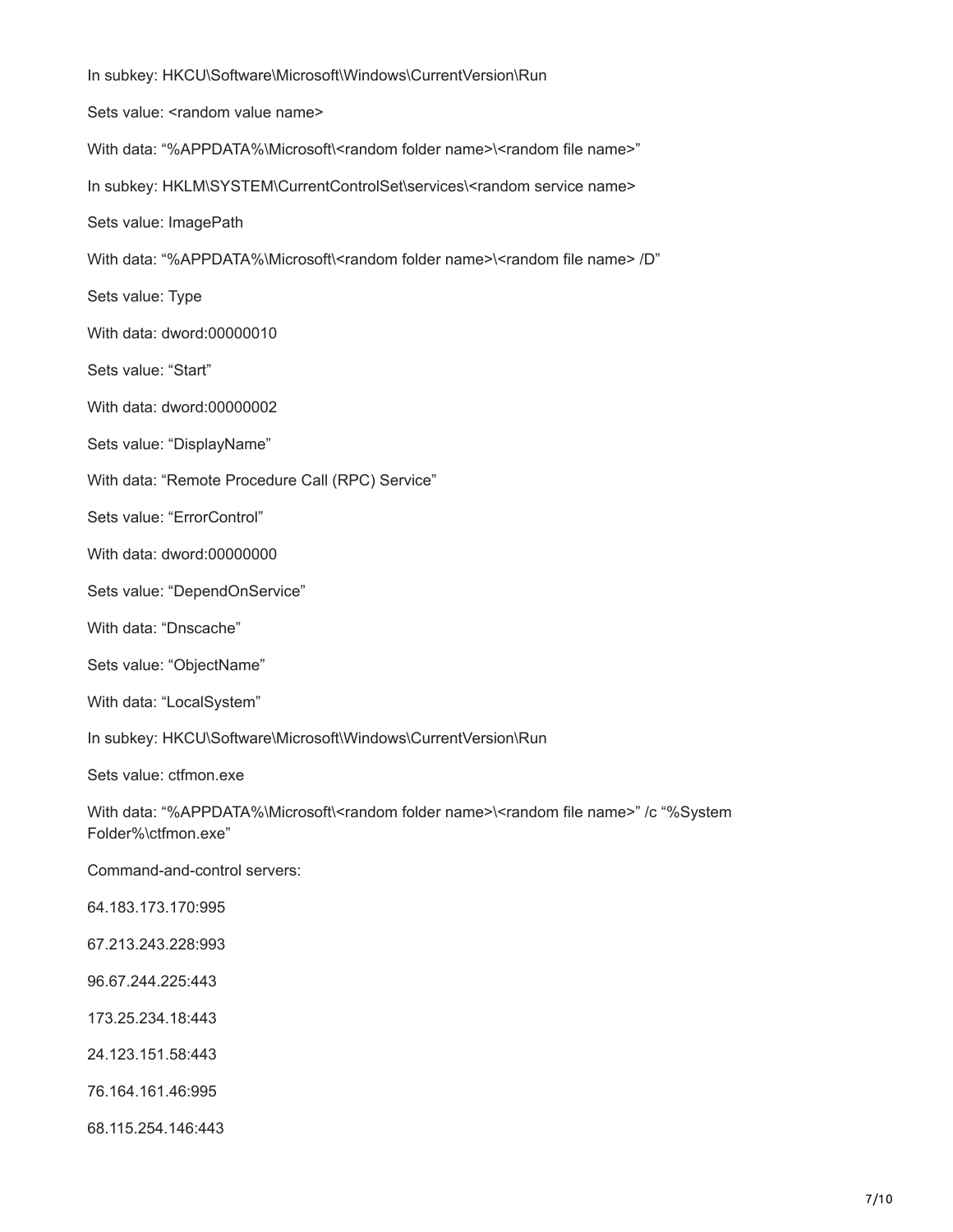In subkey: HKCU\Software\Microsoft\Windows\CurrentVersion\Run Sets value: <random value name> With data: "%APPDATA%\Microsoft\<random folder name>\<random file name>" In subkey: HKLM\SYSTEM\CurrentControlSet\services\<random service name> Sets value: ImagePath With data: "%APPDATA%\Microsoft\<random folder name>\<random file name> /D" Sets value: Type With data: dword:00000010 Sets value: "Start" With data: dword:00000002 Sets value: "DisplayName" With data: "Remote Procedure Call (RPC) Service" Sets value: "ErrorControl" With data: dword:00000000 Sets value: "DependOnService" With data: "Dnscache" Sets value: "ObjectName" With data: "LocalSystem" In subkey: HKCU\Software\Microsoft\Windows\CurrentVersion\Run Sets value: ctfmon.exe With data: "%APPDATA%\Microsoft\<random folder name>\<random file name>" /c "%System Folder%\ctfmon.exe" Command-and-control servers: 64.183.173.170:995 67.213.243.228:993 96.67.244.225:443 173.25.234.18:443 24.123.151.58:443 76.164.161.46:995 68.115.254.146:443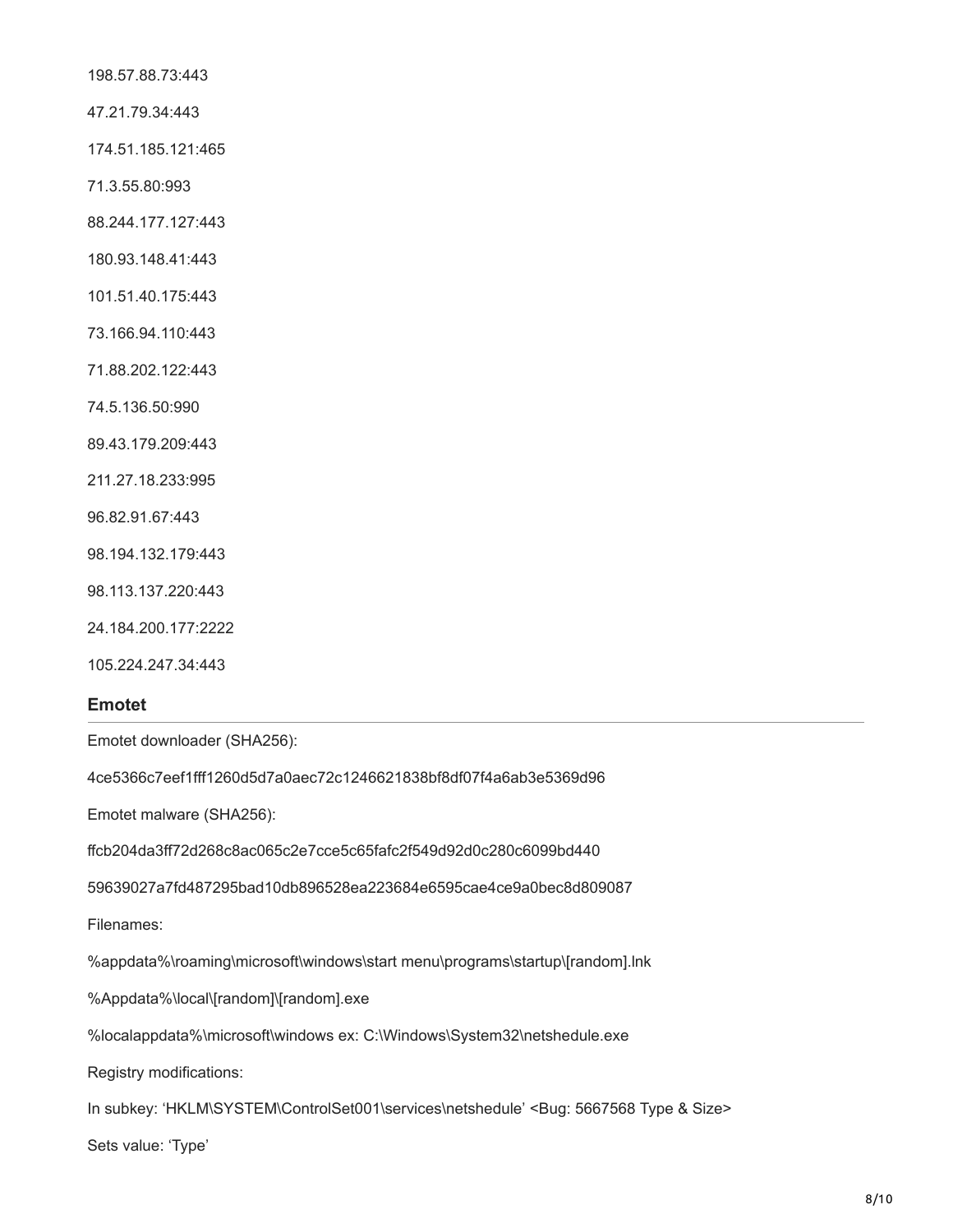198.57.88.73:443

47.21.79.34:443

174.51.185.121:465

71.3.55.80:993

88.244.177.127:443

180.93.148.41:443

101.51.40.175:443

73.166.94.110:443

71.88.202.122:443

74.5.136.50:990

89.43.179.209:443

211.27.18.233:995

96.82.91.67:443

98.194.132.179:443

98.113.137.220:443

24.184.200.177:2222

105.224.247.34:443

### **Emotet**

Emotet downloader (SHA256):

4ce5366c7eef1fff1260d5d7a0aec72c1246621838bf8df07f4a6ab3e5369d96

Emotet malware (SHA256):

ffcb204da3ff72d268c8ac065c2e7cce5c65fafc2f549d92d0c280c6099bd440

59639027a7fd487295bad10db896528ea223684e6595cae4ce9a0bec8d809087

Filenames:

%appdata%\roaming\microsoft\windows\start menu\programs\startup\[random].lnk

%Appdata%\local\[random]\[random].exe

%localappdata%\microsoft\windows ex: C:\Windows\System32\netshedule.exe

Registry modifications:

In subkey: 'HKLM\SYSTEM\ControlSet001\services\netshedule' <Bug: 5667568 Type & Size>

Sets value: 'Type'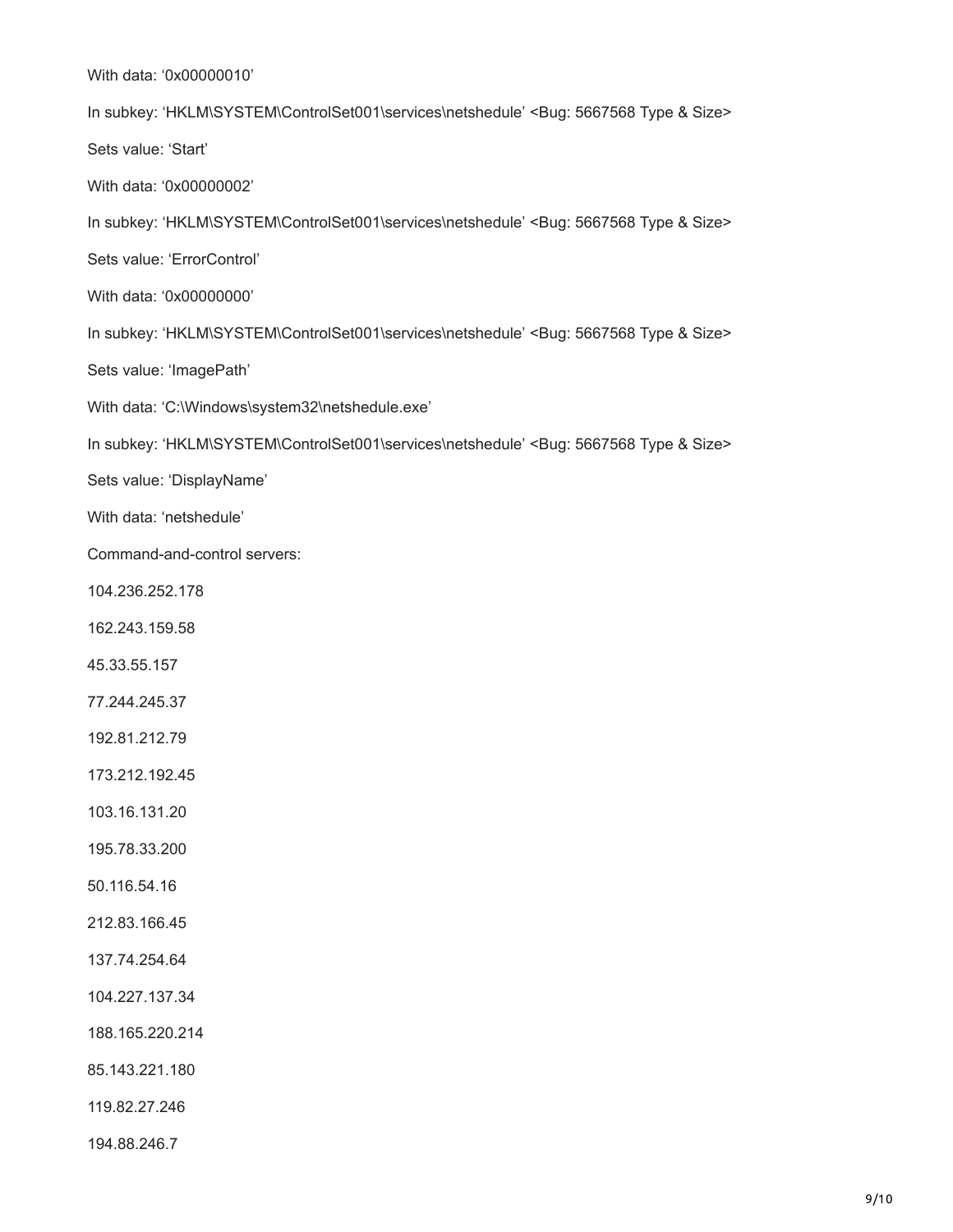With data: '0x00000010'

In subkey: 'HKLM\SYSTEM\ControlSet001\services\netshedule' <Bug: 5667568 Type & Size> Sets value: 'Start' With data: '0x00000002' In subkey: 'HKLM\SYSTEM\ControlSet001\services\netshedule' <Bug: 5667568 Type & Size> Sets value: 'ErrorControl' With data: '0x00000000' In subkey: 'HKLM\SYSTEM\ControlSet001\services\netshedule' <Bug: 5667568 Type & Size> Sets value: 'ImagePath' With data: 'C:\Windows\system32\netshedule.exe' In subkey: 'HKLM\SYSTEM\ControlSet001\services\netshedule' <Bug: 5667568 Type & Size> Sets value: 'DisplayName' With data: 'netshedule' Command-and-control servers: 104.236.252.178 162.243.159.58 45.33.55.157 77.244.245.37 192.81.212.79 173.212.192.45 103.16.131.20 195.78.33.200 50.116.54.16 212.83.166.45 137.74.254.64 104.227.137.34 188.165.220.214 85.143.221.180 119.82.27.246

194.88.246.7